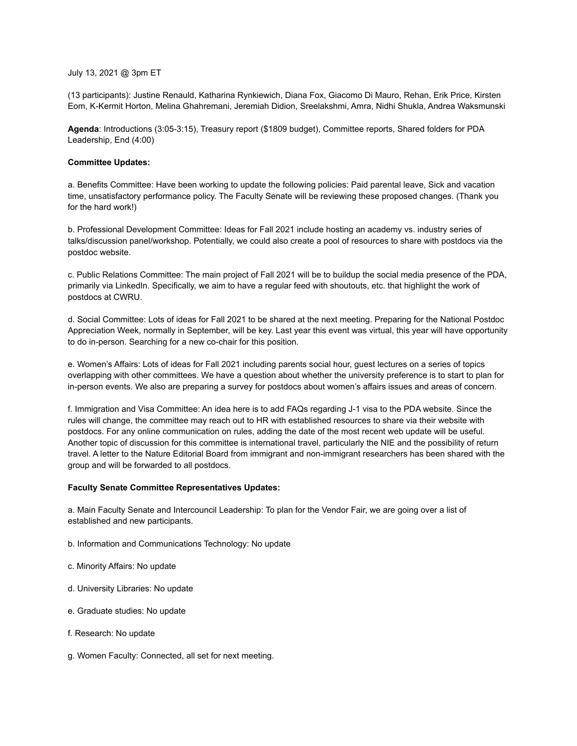## July 13, 2021 @ 3pm ET

(13 participants): Justine Renauld, Katharina Rynkiewich, Diana Fox, Giacomo Di Mauro, Rehan, Erik Price, Kirsten Eom, K-Kermit Horton, Melina Ghahremani, Jeremiah Didion, Sreelakshmi, Amra, Nidhi Shukla, Andrea Waksmunski

**Agenda**: Introductions (3:05-3:15), Treasury report (\$1809 budget), Committee reports, Shared folders for PDA Leadership, End (4:00)

## **Committee Updates:**

a. Benefits Committee: Have been working to update the following policies: Paid parental leave, Sick and vacation time, unsatisfactory performance policy. The Faculty Senate will be reviewing these proposed changes. (Thank you for the hard work!)

b. Professional Development Committee: Ideas for Fall 2021 include hosting an academy vs. industry series of talks/discussion panel/workshop. Potentially, we could also create a pool of resources to share with postdocs via the postdoc website.

c. Public Relations Committee: The main project of Fall 2021 will be to buildup the social media presence of the PDA, primarily via LinkedIn. Specifically, we aim to have a regular feed with shoutouts, etc. that highlight the work of postdocs at CWRU.

d. Social Committee: Lots of ideas for Fall 2021 to be shared at the next meeting. Preparing for the National Postdoc Appreciation Week, normally in September, will be key. Last year this event was virtual, this year will have opportunity to do in-person. Searching for a new co-chair for this position.

e. Women's Affairs: Lots of ideas for Fall 2021 including parents social hour, guest lectures on a series of topics overlapping with other committees. We have a question about whether the university preference is to start to plan for in-person events. We also are preparing a survey for postdocs about women's affairs issues and areas of concern.

f. Immigration and Visa Committee: An idea here is to add FAQs regarding J-1 visa to the PDA website. Since the rules will change, the committee may reach out to HR with established resources to share via their website with postdocs. For any online communication on rules, adding the date of the most recent web update will be useful. Another topic of discussion for this committee is international travel, particularly the NIE and the possibility of return travel. A letter to the Nature Editorial Board from immigrant and non-immigrant researchers has been shared with the group and will be forwarded to all postdocs.

## **Faculty Senate Committee Representatives Updates:**

a. Main Faculty Senate and Intercouncil Leadership: To plan for the Vendor Fair, we are going over a list of established and new participants.

- b. Information and Communications Technology: No update
- c. Minority Affairs: No update
- d. University Libraries: No update
- e. Graduate studies: No update
- f. Research: No update
- g. Women Faculty: Connected, all set for next meeting.